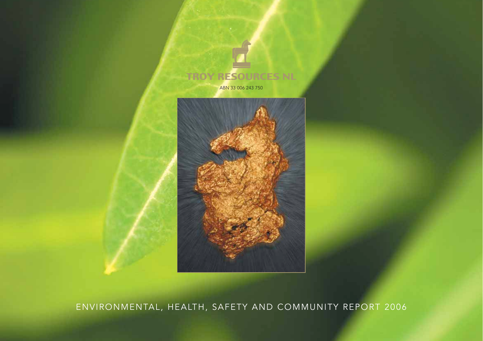

ENVIRONMENTAL, HEALTH, SAFETY AND COMMUNITY REPORT 2006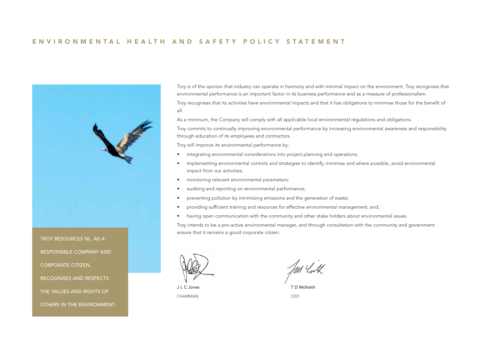## ENVIRONMENTAL HEALTH AND SAFETY POLICY STATEMENT



RECOGNISES AND RESPECTS

THE VALUES AND RIGHTS OF

OTHERS IN THE ENVIRONMENT.

Troy is of the opinion that industry can operate in harmony and with minimal impact on the environment. Troy recognises that environmental performance is an important factor in its business performance and as a measure of professionalism.

Troy recognises that its activities have environmental impacts and that it has obligations to minimise those for the benefit of all.

As a minimum, the Company will comply with all applicable local environmental regulations and obligations.

Troy commits to continually improving environmental performance by increasing environmental awareness and responsibility through education of its employees and contractors.

Troy will improve its environmental performance by:

- integrating environmental considerations into project planning and operations;
- implementing environmental controls and strategies to identify, minimise and where possible, avoid environmental impact from our activities;
- monitoring relevant environmental parameters;
- auditing and reporting on environmental performance;
- preventing pollution by minimising emissions and the generation of waste;
- providing sufficient training and resources for effective environmental management; and,
- having open communication with the community and other stake holders about environmental issues.

Troy intends to be a pro-active environmental manager, and through consultation with the community and government ensure that it remains a good corporate citizen.



CHAIRMAN CEO

J L C Jones T D McKeith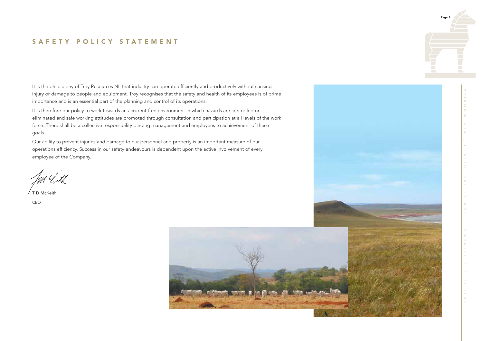# SAFETY POLICY STATEMENT

It is the philosophy of Troy Resources NL that industry can operate efficiently and productively without causing injury or damage to people and equipment. Troy recognises that the safety and health of its employees is of prime importance and is an essential part of the planning and control of its operations.

It is therefore our policy to work towards an accident-free environment in which hazards are controlled or eliminated and safe working attitudes are promoted through consultation and participation at all levels of the work force. There shall be a collective responsibility binding management and employees to achievement of these goals.

Our ability to prevent injuries and damage to our personnel and property is an important measure of our operations efficiency. Success in our safety endeavours is dependent upon the active involvement of every employee of the Company.

T D McKeith

CEO



Page 1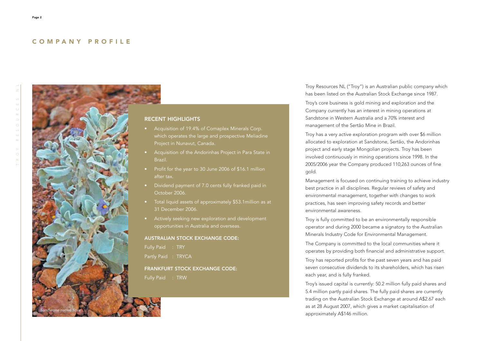## COMPANY PROFILE



### RECENT HIGHLIGHTS

- which operates the large and prospective Meliadine Project in Nunavut, Canada.
- Brazil.
- Profit for the year to 30 June 2006 of \$16.1 million after tax.
- Dividend payment of 7.0 cents fully franked paid in October 2006.
- Total liquid assets of approximately \$53.1million as at 31 December 2006.
- Actively seeking new exploration and development opportunities in Australia and overseas.

## AUSTRALIAN STOCK EXCHANGE CODE:

Fully Paid : TRY

Partly Paid : TRYCA

## FRANKFURT STOCK EXCHANGE CODE: Fully Paid : TRW

Troy Resources NL ("Troy") is an Australian public company which has been listed on the Australian Stock Exchange since 1987.

Troy's core business is gold mining and exploration and the Company currently has an interest in mining operations at Sandstone in Western Australia and a 70% interest and management of the Sertão Mine in Brazil.

Troy has a very active exploration program with over \$6 million allocated to exploration at Sandstone, Sertão, the Andorinhas project and early stage Mongolian projects. Troy has been involved continuously in mining operations since 1998. In the 2005/2006 year the Company produced 110,263 ounces of fine gold.

Management is focused on continuing training to achieve industry best practice in all disciplines. Regular reviews of safety and environmental management, together with changes to work practices, has seen improving safety records and better environmental awareness.

Troy is fully committed to be an environmentally responsible operator and during 2000 became a signatory to the Australian Minerals Industry Code for Environmental Management.

The Company is committed to the local communities where it operates by providing both financial and administrative support.

Troy has reported profits for the past seven years and has paid seven consecutive dividends to its shareholders, which has risen each year, and is fully franked.

Troy's issued capital is currently: 50.2 million fully paid shares and 5.4 million partly paid shares. The fully paid shares are currently trading on the Australian Stock Exchange at around A\$2.67 each as at 28 August 2007, which gives a market capitalisation of approximately A\$146 million.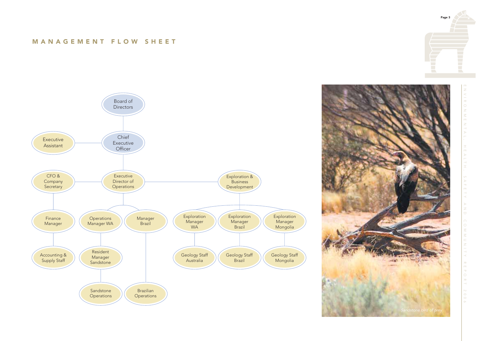# MANAGEMENT FLOW SHEET





ndstone bird of prey

Page 3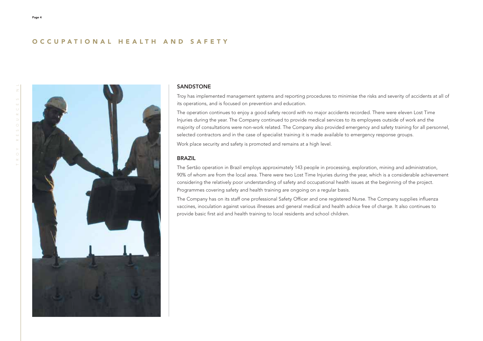# OCCUPATIONAL HEALTH AND SAFETY



#### SANDSTONE

Troy has implemented management systems and reporting procedures to minimise the risks and severity of accidents at all of its operations, and is focused on prevention and education.

The operation continues to enjoy a good safety record with no major accidents recorded. There were eleven Lost Time Injuries during the year. The Company continued to provide medical services to its employees outside of work and the majority of consultations were non-work related. The Company also provided emergency and safety training for all personnel, selected contractors and in the case of specialist training it is made available to emergency response groups.

Work place security and safety is promoted and remains at a high level.

## BRAZIL

The Sertão operation in Brazil employs approximately 143 people in processing, exploration, mining and administration, 90% of whom are from the local area. There were two Lost Time Injuries during the year, which is a considerable achievement considering the relatively poor understanding of safety and occupational health issues at the beginning of the project. Programmes covering safety and health training are ongoing on a regular basis.

The Company has on its staff one professional Safety Officer and one registered Nurse. The Company supplies influenza vaccines, inoculation against various illnesses and general medical and health advice free of charge. It also continues to provide basic first aid and health training to local residents and school children.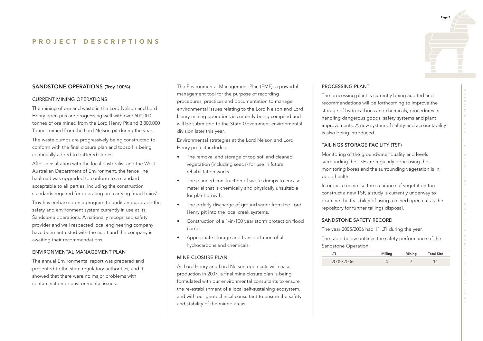## SANDSTONE OPERATIONS (Troy 100%)

#### CURRENT MINING OPERATIONS

The mining of ore and waste in the Lord Nelson and Lord Henry open pits are progressing well with over 500,000 tonnes of ore mined from the Lord Henry Pit and 3,800,000 Tonnes mined from the Lord Nelson pit during the year.

The waste dumps are progressively being constructed to conform with the final closure plan and topsoil is being continually added to battered slopes.

After consultation with the local pastoralist and the West Australian Department of Environment, the fence line haulroad was upgraded to conform to a standard acceptable to all parties, including the construction standards required for operating ore carrying 'road trains'.

Troy has embarked on a program to audit and upgrade the safety and environment system currently in use at its Sandstone operations. A nationally recognised safety provider and well respected local engineering company have been entrusted with the audit and the company is awaiting their recommendations.

#### ENVIRONMENTAL MANAGEMENT PLAN

The annual Environmental report was prepared and presented to the state regulatory authorities, and it showed that there were no major problems with contamination or environmental issues.

The Environmental Management Plan (EMP), a powerful management tool for the purpose of recording procedures, practices and documentation to manage environmental issues relating to the Lord Nelson and Lord Henry mining operations is currently being compiled and will be submitted to the State Government environmental division later this year.

Environmental strategies at the Lord Nelson and Lord Henry project includes:

- The removal and storage of top soil and cleaned vegetation (including seeds) for use in future rehabilitation works.
- The planned construction of waste dumps to encase material that is chemically and physically unsuitable for plant growth.
- The orderly discharge of ground water from the Lord Henry pit into the local creek systems.
- Construction of a 1-in-100 year storm protection flood barrier.
- Appropriate storage and transportation of all hydrocarbons and chemicals.

#### MINE CLOSURE PLAN

As Lord Henry and Lord Nelson open cuts will cease production in 2007, a final mine closure plan is being formulated with our environmental consultants to ensure the re-establishment of a local self-sustaining ecosystem, and with our geotechnical consultant to ensure the safety and stability of the mined areas.

#### PROCESSING PLANT

The processing plant is currently being audited and recommendations will be forthcoming to improve the storage of hydrocarbons and chemicals, procedures in handling dangerous goods, safety systems and plant improvements. A new system of safety and accountability is also being introduced.

#### TAILINGS STORAGE FACILITY (TSF)

Monitoring of the groundwater quality and levels surrounding the TSF are regularly done using the monitoring bores and the surrounding vegetation is in good health.

In order to minimise the clearance of vegetation ton construct a new TSF, a study is currently underway to examine the feasibility of using a mined open cut as the repository for further tailings disposal.

#### SANDSTONE SAFETY RECORD

The year 2005/2006 had 11 LTI during the year.

The table below outlines the safety performance of the Sandstone Operation:

|           | Milling | Mining | <b>Total Site</b> |
|-----------|---------|--------|-------------------|
| 2005/2006 |         |        |                   |

Page 5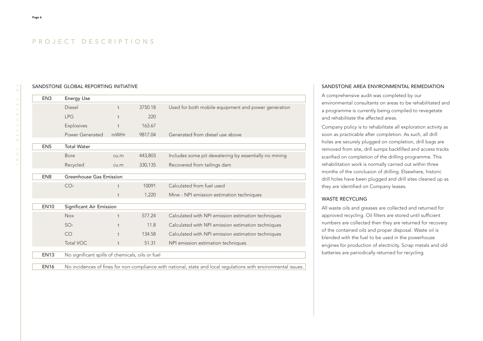#### SANDSTONE GLOBAL REPORTING INITIATIVE

| EN <sub>3</sub> | <b>Energy Use</b>                                |            |         |                                                       |
|-----------------|--------------------------------------------------|------------|---------|-------------------------------------------------------|
|                 | Diesel                                           | $\ddagger$ | 3750.18 | Used for both mobile equipment and power generation   |
|                 | <b>LPG</b>                                       | $\ddagger$ | 220     |                                                       |
|                 | Explosives                                       | t          | 163.67  |                                                       |
|                 | Power Generated                                  | mWHr       | 9817.04 | Generated from diesel use above                       |
|                 |                                                  |            |         |                                                       |
| EN <sub>5</sub> | <b>Total Water</b>                               |            |         |                                                       |
|                 | <b>Bore</b>                                      | cu.m       | 443,803 | Includes some pit dewatering by essentially no mining |
|                 | Recycled                                         | cu.m       | 330,135 | Recovered from tailings dam                           |
|                 |                                                  |            |         |                                                       |
| EN <sub>8</sub> | Greenhouse Gas Emission                          |            |         |                                                       |
|                 | CO <sub>2</sub>                                  | t          | 10091   | Calculated from fuel used                             |
|                 |                                                  | t          | 1,220   | Mine - NPI emission estimation techniques             |
|                 |                                                  |            |         |                                                       |
| <b>EN10</b>     | Significant Air Emission                         |            |         |                                                       |
|                 | <b>Nox</b>                                       | t          | 577.24  | Calculated with NPI emission estimation techniques    |
|                 | SO <sub>2</sub>                                  | $\ddagger$ | 11.8    | Calculated with NPI emission estimation techniques    |
|                 | CO                                               | $\ddagger$ | 134.58  | Calculated with NPI emission estimation techniques    |
|                 | <b>Total VOC</b>                                 | t          | 51.31   | NPI emission estimation techniques                    |
|                 |                                                  |            |         |                                                       |
| <b>EN13</b>     | No significant spills of chemicals, oils or fuel |            |         |                                                       |

EN16 No incidences of fines for non-compliance with national, state and local regulations with environmental issues.

#### SANDSTONE AREA ENVIRONMENTAL REMEDIATION

A comprehensive audit was completed by our environmental consultants on areas to be rehabilitated and a programme is currently being compiled to revegetate and rehabilitate the affected areas.

Company policy is to rehabilitate all exploration activity as soon as practicable after completion. As such, all drill holes are securely plugged on completion, drill bags are removed from site, drill sumps backfilled and access tracks scarified on completion of the drilling programme. This rehabilitation work is normally carried out within three months of the conclusion of drilling. Elsewhere, historic drill holes have been plugged and drill sites cleaned up as they are identified on Company leases.

#### WASTE RECYCLING

All waste oils and greases are collected and returned for approved recycling. Oil filters are stored until sufficient numbers are collected then they are returned for recovery of the contained oils and proper disposal. Waste oil is blended with the fuel to be used in the powerhouse engines for production of electricity. Scrap metals and old batteries are periodically returned for recycling.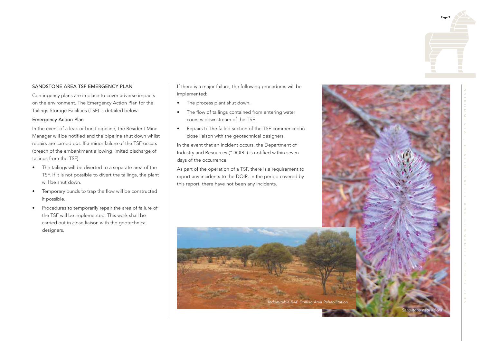# Page 7

## SANDSTONE AREA TSF EMERGENCY PLAN

Contingency plans are in place to cover adverse impacts on the environment. The Emergency Action Plan for the Tailings Storage Facilities (TSF) is detailed below:

## Emergency Action Plan

In the event of a leak or burst pipeline, the Resident Mine Manager will be notified and the pipeline shut down whilst repairs are carried out. If a minor failure of the TSF occurs (breach of the embankment allowing limited discharge of tailings from the TSF):

- The tailings will be diverted to a separate area of the TSF. If it is not possible to divert the tailings, the plant will be shut down.
- Temporary bunds to trap the flow will be constructed if possible.
- Procedures to temporarily repair the area of failure of the TSF will be implemented. This work shall be carried out in close liaison with the geotechnical designers.

If there is a major failure, the following procedures will be implemented:

- The process plant shut down.
- The flow of tailings contained from entering water courses downstream of the TSF.
- Repairs to the failed section of the TSF commenced in close liaison with the geotechnical designers.

In the event that an incident occurs, the Department of Industry and Resources ("DOIR") is notified within seven days of the occurrence.

As part of the operation of a TSF, there is a requirement to report any incidents to the DOIR. In the period covered by this report, there have not been any incidents.

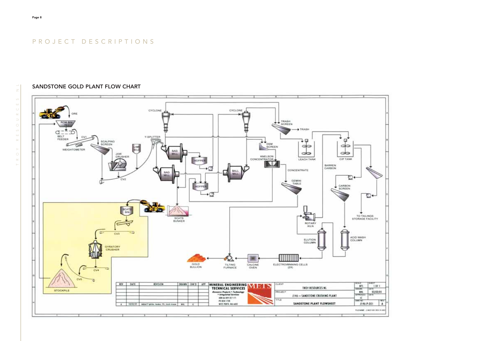## SANDSTONE GOLD PLANT FLOW CHART

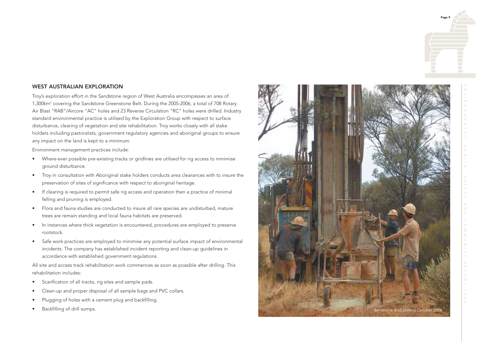# Page 9

## WEST AUSTRALIAN EXPLORATION

Troy's exploration effort in the Sandstone region of West Australia encompasses an area of 1,300km <sup>2</sup> covering the Sandstone Greenstone Belt. During the 2005-2006, a total of 708 Rotary Air Blast "RAB"/Aircore "AC" holes and 23 Reverse Circulation "RC" holes were drilled. Industry standard environmental practice is utilised by the Exploration Group with respect to surface disturbance, clearing of vegetation and site rehabilitation. Troy works closely with all stake holders including pastoralists, government regulatory agencies and aboriginal groups to ensure any impact on the land is kept to a minimum.

Environment management practices include:

- Where-ever possible pre-existing tracks or gridlines are utilised for rig access to minimise ground disturbance.
- Troy in consultation with Aboriginal stake holders conducts area clearances with to insure the preservation of sites of significance with respect to aboriginal heritage.
- If clearing is required to permit safe rig access and operation then a practice of minimal felling and pruning is employed.
- Flora and fauna studies are conducted to insure all rare species are undisturbed, mature trees are remain standing and local fauna habitats are preserved.
- In instances where thick vegetation is encountered, procedures are employed to preserve rootstock.
- Safe work practices are employed to minimise any potential surface impact of environmental incidents. The company has established incident reporting and clean-up guidelines in accordance with established government regulations.

All site and access track rehabilitation work commences as soon as possible after drilling. This rehabilitation includes:

- Scarification of all tracks, rig sites and sample pads.
- Clean-up and proper disposal of all sample bags and PVC collars.
- Plugging of holes with a cement plug and backfilling.
- 

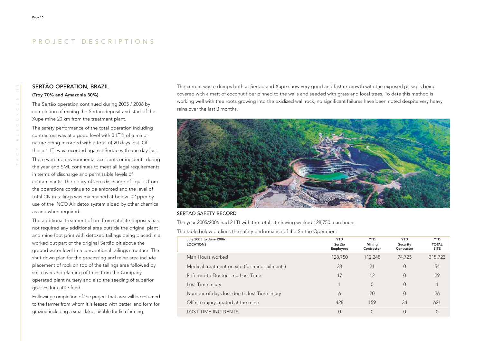## SERTÃO OPERATION, BRAZIL (Troy 70% and Amazonia 30%)

The Sertão operation continued during 2005 / 2006 by completion of mining the Sertão deposit and start of the Xupe mine 20 km from the treatment plant.

The safety performance of the total operation including contractors was at a good level with 3 LTI's of a minor nature being recorded with a total of 20 days lost. Of those 1 LTI was recorded against Sertão with one day lost. There were no environmental accidents or incidents during the year and SML continues to meet all legal requirements in terms of discharge and permissible levels of contaminants. The policy of zero discharge of liquids from the operations continue to be enforced and the level of total CN in tailings was maintained at below .02 ppm by use of the INCO Air detox system aided by other chemical as and when required.

The additional treatment of ore from satellite deposits has not required any additional area outside the original plant and mine foot print with detoxed tailings being placed in a worked out part of the original Sertão pit above the ground water level in a conventional tailings structure. The shut down plan for the processing and mine area include placement of rock on top of the tailings area followed by soil cover and planting of trees from the Company operated plant nursery and also the seeding of superior grasses for cattle feed.

Following completion of the project that area will be returned to the farmer from whom it is leased with better land form for grazing including a small lake suitable for fish farming.

The current waste dumps both at Sertão and Xupe show very good and fast re-growth with the exposed pit walls being covered with a matt of coconut fiber pinned to the walls and seeded with grass and local trees. To date this method is working well with tree roots growing into the oxidized wall rock, no significant failures have been noted despite very heavy rains over the last 3 months.



#### SERTÃO SAFETY RECORD

The year 2005/2006 had 2 LTI with the total site having worked 128,750 man hours.

The table below outlines the safety performance of the Sertão Operation:

| July 2005 to June 2006<br><b>LOCATIONS</b>     | <b>YTD</b><br>Sertão<br><b>Employees</b> | <b>YTD</b><br>Mining<br>Contractor | <b>YTD</b><br>Security<br>Contractor | <b>YTD</b><br><b>TOTAL</b><br><b>SITE</b> |
|------------------------------------------------|------------------------------------------|------------------------------------|--------------------------------------|-------------------------------------------|
| Man Hours worked                               | 128,750                                  | 112,248                            | 74,725                               | 315,723                                   |
| Medical treatment on site (for minor ailments) | 33                                       | 21                                 | $\Omega$                             | 54                                        |
| Referred to Doctor - no Lost Time              | 17                                       | 12                                 | $\Omega$                             | 29                                        |
| Lost Time Injury                               |                                          | $\Omega$                           | $\Omega$                             |                                           |
| Number of days lost due to lost Time injury    | 6                                        | 20                                 | $\Omega$                             | 26                                        |
| Off-site injury treated at the mine            | 428                                      | 159                                | 34                                   | 621                                       |
| <b>LOST TIME INCIDENTS</b>                     | $\overline{0}$                           | $\Omega$                           | $\Omega$                             |                                           |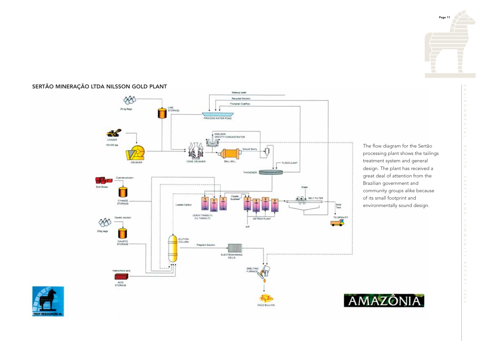# SERTÃO MINERAÇÃO LTDA NILSSON GOLD PLANT



The flow diagram for the Sertão processing plant shows the tailings treatment system and general design. The plant has received a great deal of attention from the Brazilian government and community groups alike because of its small footprint and environmentally sound design.





 $\bar{z}$ 

 $\overline{a}$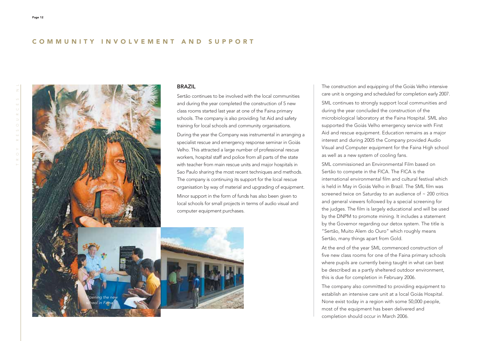## COMMUNITY INVOLVEMENT AND SUPPORT



The construction and equipping of the Goiás Velho intensive care unit is ongoing and scheduled for completion early 2007. SML continues to strongly support local communities and during the year concluded the construction of the microbiological laboratory at the Faina Hospital. SML also supported the Goiás Velho emergency service with First Aid and rescue equipment. Education remains as a major interest and during 2005 the Company provided Audio Visual and Computer equipment for the Faina High school as well as a new system of cooling fans.

SML commissioned an Environmental Film based on Sertão to compete in the FICA. The FICA is the international environmental film and cultural festival which is held in May in Goiás Velho in Brazil. The SML film was screened twice on Saturday to an audience of ~ 200 critics and general viewers followed by a special screening for the judges. The film is largely educational and will be used by the DNPM to promote mining. It includes a statement by the Governor regarding our detox system. The title is "Sertão, Muito Alem do Ouro" which roughly means Sertão, many things apart from Gold.

At the end of the year SML commenced construction of five new class rooms for one of the Faina primary schools where pupils are currently being taught in what can best be described as a partly sheltered outdoor environment, this is due for completion in February 2006.

The company also committed to providing equipment to establish an intensive care unit at a local Goiás Hospital. None exist today in a region with some 50,000 people, most of the equipment has been delivered and completion should occur in March 2006.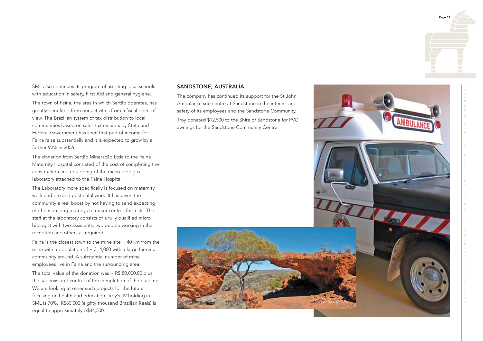

SML also continues its program of assisting local schools with education in safety, First Aid and general hygiene.

The town of Faina, the area in which Sertão operates, has greatly benefited from our activities from a fiscal point of view. The Brazilian system of tax distribution to local communities based on sales tax receipts by State and Federal Government has seen that part of income for Faina raise substantially and it is expected to grow by a further 92% in 2006.

The donation from Sertão Mineração Ltda to the Faina Maternity Hospital consisted of the cost of completing the construction and equipping of the micro biological laboratory attached to the Faina Hospital.

The Laboratory more specifically is focused on maternity work and pre and post natal work. It has given the community a real boost by not having to send expecting mothers on long journeys to major centres for tests. The staff at the laboratory consists of a fully qualified micro biologist with two assistants, two people working in the reception and others as required.

Faina is the closest town to the mine site  $\sim$  40 km from the mine with a population of  $\sim$  3 -4,000 with a large farming community around. A substantial number of mine employees live in Faina and the surrounding area.

The total value of the donation was  $\sim$  R\$ 80,000.00 plus the supervision / control of the completion of the building. We are looking at other such projects for the future focusing on health and education. Troy's JV holding in SML is 70%. R\$80,000 (eighty thousand Brazilian Reais) is equal to approximately A\$44,500.

#### SANDSTONE, AUSTRALIA

The company has continued its support for the St John Ambulance sub centre at Sandstone in the interest and safety of its employees and the Sandstone Community. Troy donated \$12,500 to the Shire of Sandstone for PVC awnings for the Sandstone Community Centre.

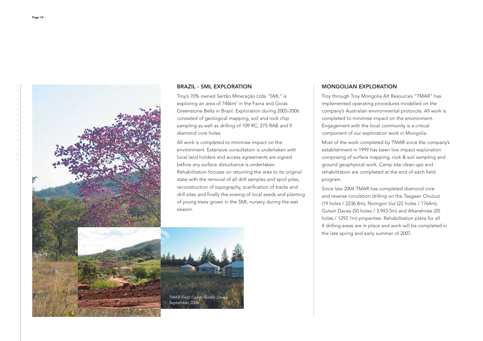

#### BRAZIL - SML EXPLORATION

Troy's 70% owned Sertão Mineração Ltda "SML" is exploring an area of 746km<sup>2</sup> in the Faina and Goiás Greenstone Belts in Brazil. Exploration during 2005-2006 consisted of geological mapping, soil and rock chip sampling as well as drilling of 109 RC, 275 RAB and 9 diamond core holes.

All work is completed to minimise impact on the environment. Extensive consultation is undertaken with local land holders and access agreements are signed before any surface disturbance is undertaken. Rehabilitation focuses on returning the area to its original state with the removal of all drill samples and spoil piles, reconstruction of topography, scarification of tracks and drill sites and finally the sowing of local seeds and planting of young trees grown in the SML nursery during the wet season.

## MONGOLIAN EXPLORATION

Troy through Troy Mongolia Alt Resources "TMAR" has implemented operating procedures modelled on the company's Australian environmental protocols. All work is completed to minimise impact on the environment. Engagement with the local community is a critical component of our exploration work in Mongolia.

Most of the work completed by TMAR since the company's establishment in 1999 has been low impact exploration comprising of surface mapping, rock & soil sampling and ground geophysical work. Camp site clean-ups and rehabilitation are completed at the end of each field program.

Since late 2004 TMAR has completed diamond core and reverse circulation drilling on the Tsagaan Chuluut (19 holes / 2236.8m), Nomgon Uul (22 holes / 1764m), Gutain Davaa (50 holes / 3,943.5m) and Altanshiree (20 holes / 1292.1m) properties. Rehabilitation plans for all 4 drilling areas are in place and work will be completed in the late spring and early summer of 2007.

TMAR Field Camp Gutain Davaa September 2006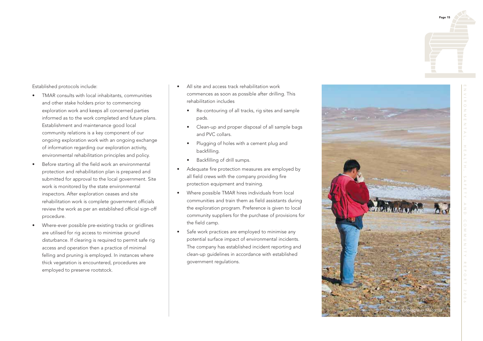ENVIRONMENTAL, HEALTH, SAFETY AND COMMUNITY REPORT 2006

Established protocols include:

- TMAR consults with local inhabitants, communities and other stake holders prior to commencing exploration work and keeps all concerned parties informed as to the work completed and future plans. Establishment and maintenance good local community relations is a key component of our ongoing exploration work with an ongoing exchange of information regarding our exploration activity, environmental rehabilitation principles and policy.
- Before starting all the field work an environmental protection and rehabilitation plan is prepared and submitted for approval to the local government. Site work is monitored by the state environmental inspectors. After exploration ceases and site rehabilitation work is complete government officials review the work as per an established official sign-off procedure.
- Where-ever possible pre-existing tracks or gridlines are utilised for rig access to minimise ground disturbance. If clearing is required to permit safe rig access and operation then a practice of minimal felling and pruning is employed. In instances where thick vegetation is encountered, procedures are employed to preserve rootstock.
- All site and access track rehabilitation work commences as soon as possible after drilling. This rehabilitation includes
	- Re-contouring of all tracks, rig sites and sample pads.
	- Clean-up and proper disposal of all sample bags and PVC collars.
	- Plugging of holes with a cement plug and backfilling.
	- Backfilling of drill sumps.
- Adequate fire protection measures are employed by all field crews with the company providing fire protection equipment and training.
- Where possible TMAR hires individuals from local communities and train them as field assistants during the exploration program. Preference is given to local community suppliers for the purchase of provisions for the field camp.
- Safe work practices are employed to minimise any potential surface impact of environmental incidents. The company has established incident reporting and clean-up guidelines in accordance with established government regulations.

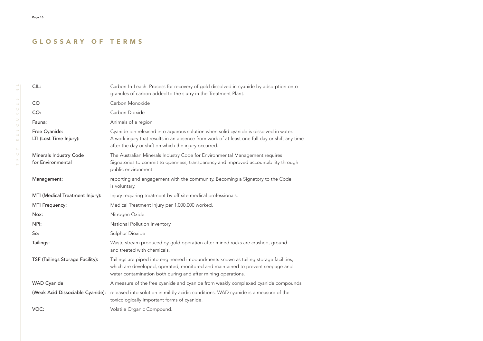# GLOSSARY OF TERMS

| CIL:                                        | Carbon-In-Leach. Process for recovery of gold dissolved in cyanide by adsorption onto<br>granules of carbon added to the slurry in the Treatment Plant.                                                                                       |
|---------------------------------------------|-----------------------------------------------------------------------------------------------------------------------------------------------------------------------------------------------------------------------------------------------|
| CO.                                         | Carbon Monoxide                                                                                                                                                                                                                               |
| CO <sub>2</sub>                             | Carbon Dioxide                                                                                                                                                                                                                                |
| Fauna:                                      | Animals of a region                                                                                                                                                                                                                           |
| Free Cyanide:<br>LTI (Lost Time Injury):    | Cyanide ion released into aqueous solution when solid cyanide is dissolved in water.<br>A work injury that results in an absence from work of at least one full day or shift any time<br>after the day or shift on which the injury occurred. |
| Minerals Industry Code<br>for Environmental | The Australian Minerals Industry Code for Environmental Management requires<br>Signatories to commit to openness, transparency and improved accountability through<br>public environment                                                      |
| Management:                                 | reporting and engagement with the community. Becoming a Signatory to the Code<br>is voluntary.                                                                                                                                                |
| MTI (Medical Treatment Injury):             | Injury requiring treatment by off-site medical professionals.                                                                                                                                                                                 |
| <b>MTI Frequency:</b>                       | Medical Treatment Injury per 1,000,000 worked.                                                                                                                                                                                                |
| Nox:                                        | Nitrogen Oxide.                                                                                                                                                                                                                               |
| NPI:                                        | National Pollution Inventory.                                                                                                                                                                                                                 |
| So <sub>2</sub>                             | Sulphur Dioxide                                                                                                                                                                                                                               |
| Tailings:                                   | Waste stream produced by gold operation after mined rocks are crushed, ground<br>and treated with chemicals.                                                                                                                                  |
| TSF (Tailings Storage Facility):            | Tailings are piped into engineered impoundments known as tailing storage facilities,<br>which are developed, operated, monitored and maintained to prevent seepage and<br>water contamination both during and after mining operations.        |
| <b>WAD Cyanide</b>                          | A measure of the free cyanide and cyanide from weakly complexed cyanide compounds                                                                                                                                                             |
| (Weak Acid Dissociable Cyanide):            | released into solution in mildly acidic conditions. WAD cyanide is a measure of the<br>toxicologically important forms of cyanide.                                                                                                            |
| VOC:                                        | Volatile Organic Compound.                                                                                                                                                                                                                    |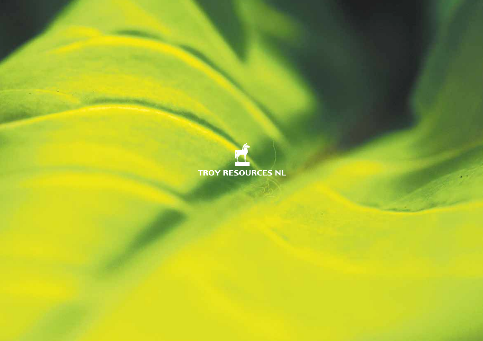